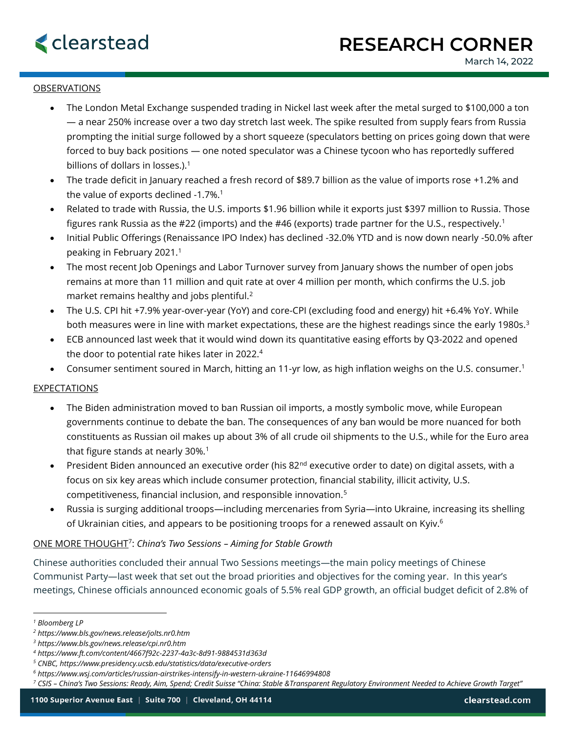

# OBSERVATIONS

- The London Metal Exchange suspended trading in Nickel last week after the metal surged to \$100,000 a ton — a near 250% increase over a two day stretch last week. The spike resulted from supply fears from Russia prompting the initial surge followed by a short squeeze (speculators betting on prices going down that were forced to buy back positions — one noted speculator was a Chinese tycoon who has reportedly suffered billions of dollars in losses.). $<sup>1</sup>$ </sup>
- The trade deficit in January reached a fresh record of \$89.7 billion as the value of imports rose +1.2% and the value of exports declined -1.7%.<sup>1</sup>
- Related to trade with Russia, the U.S. imports \$1.96 billion while it exports just \$397 million to Russia. Those figures rank Russia as the #22 (imports) and the #46 (exports) trade partner for the U.S., respectively.<sup>1</sup>
- Initial Public Offerings (Renaissance IPO Index) has declined -32.0% YTD and is now down nearly -50.0% after peaking in February 2021.<sup>1</sup>
- The most recent Job Openings and Labor Turnover survey from January shows the number of open jobs remains at more than 11 million and quit rate at over 4 million per month, which confirms the U.S. job market remains healthy and jobs plentiful.<sup>2</sup>
- The U.S. CPI hit +7.9% year-over-year (YoY) and core-CPI (excluding food and energy) hit +6.4% YoY. While both measures were in line with market expectations, these are the highest readings since the early 1980s.<sup>3</sup>
- ECB announced last week that it would wind down its quantitative easing efforts by Q3-2022 and opened the door to potential rate hikes later in 2022.<sup>4</sup>
- Consumer sentiment soured in March, hitting an 11-yr low, as high inflation weighs on the U.S. consumer.<sup>1</sup>

# EXPECTATIONS

- The Biden administration moved to ban Russian oil imports, a mostly symbolic move, while European governments continue to debate the ban. The consequences of any ban would be more nuanced for both constituents as Russian oil makes up about 3% of all crude oil shipments to the U.S., while for the Euro area that figure stands at nearly 30%. $^1$
- President Biden announced an executive order (his 82<sup>nd</sup> executive order to date) on digital assets, with a focus on six key areas which include consumer protection, financial stability, illicit activity, U.S. competitiveness, financial inclusion, and responsible innovation.<sup>5</sup>
- Russia is surging additional troops—including mercenaries from Syria—into Ukraine, increasing its shelling of Ukrainian cities, and appears to be positioning troops for a renewed assault on Kyiv.<sup>6</sup>

# ONE MORE THOUGHT<sup>7</sup> : *China's Two Sessions – Aiming for Stable Growth*

Chinese authorities concluded their annual Two Sessions meetings—the main policy meetings of Chinese Communist Party—last week that set out the broad priorities and objectives for the coming year. In this year's meetings, Chinese officials announced economic goals of 5.5% real GDP growth, an official budget deficit of 2.8% of

*<sup>1</sup> Bloomberg LP*

*<sup>2</sup> https://www.bls.gov/news.release/jolts.nr0.htm*

*<sup>3</sup> https://www.bls.gov/news.release/cpi.nr0.htm*

*<sup>4</sup> https://www.ft.com/content/4667f92c-2237-4a3c-8d91-9884531d363d*

*<sup>5</sup> CNBC, https://www.presidency.ucsb.edu/statistics/data/executive-orders*

*<sup>6</sup> https://www.wsj.com/articles/russian-airstrikes-intensify-in-western-ukraine-11646994808*

*<sup>7</sup> CSIS – China's Two Sessions: Ready, Aim, Spend; Credit Suisse "China: Stable &Transparent Regulatory Environment Needed to Achieve Growth Target"*